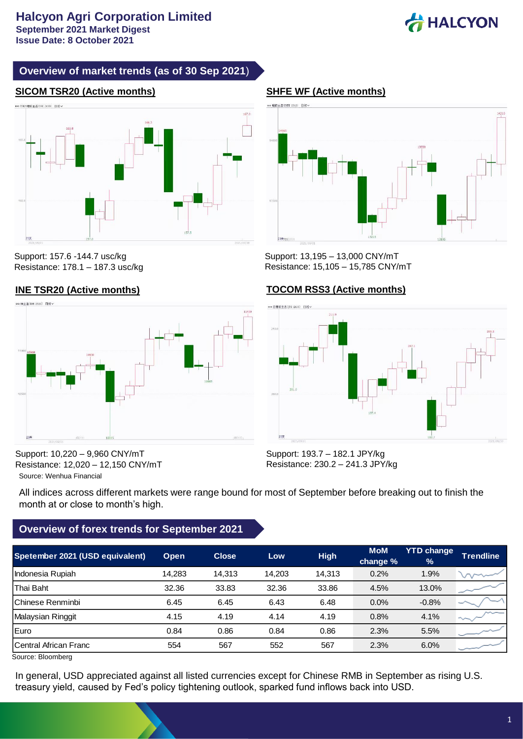

# **Overview of market trends (as of 30 Sep 2021**)

# **SICOM TSR20 (Active months) SHFE WF (Active months)**



Support: 157.6 -144.7 usc/kg Resistance: 178.1 – 187.3 usc/kg





Support: 13,195 – 13,000 CNY/mT Resistance: 15,105 – 15,785 CNY/mT

## **INE TSR20 (Active months) TOCOM RSS3 (Active months)**



Source: Wenhua Financial Support: 10,220 – 9,960 CNY/mT Resistance: 12,020 – 12,150 CNY/mT Support: 193.7 – 182.1 JPY/kg Resistance: 230.2 – 241.3 JPY/kg

All indices across different markets were range bound for most of September before breaking out to finish the month at or close to month's high.

# **Overview of forex trends for September 2021**

| <b>Trendline</b> |
|------------------|
| $\Lambda$        |
|                  |
|                  |
|                  |
|                  |
|                  |
|                  |

Source: Bloomberg

In general, USD appreciated against all listed currencies except for Chinese RMB in September as rising U.S. treasury yield, caused by Fed's policy tightening outlook, sparked fund inflows back into USD.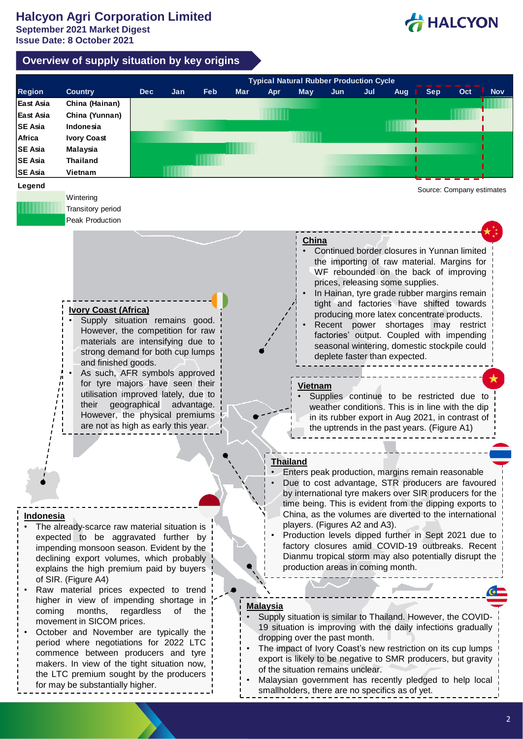HALCYON

# **Overview of supply situation by key origins**

|                | <b>Typical Natural Rubber Production Cycle</b>                                            |                                                         |            |     |            |                 |                                                 |                                                                                                        |     |                   |                                                                                               |                           |            |  |
|----------------|-------------------------------------------------------------------------------------------|---------------------------------------------------------|------------|-----|------------|-----------------|-------------------------------------------------|--------------------------------------------------------------------------------------------------------|-----|-------------------|-----------------------------------------------------------------------------------------------|---------------------------|------------|--|
| <b>Region</b>  | <b>Country</b>                                                                            | <b>Dec</b>                                              | Jan        | Feb | <b>Mar</b> | Apr             | <b>May</b>                                      | <b>Jun</b>                                                                                             | Jul | <b>Sep</b><br>Aug |                                                                                               | Oct                       | <b>Nov</b> |  |
| East Asia      | China (Hainan)                                                                            |                                                         |            |     |            |                 |                                                 |                                                                                                        |     |                   |                                                                                               |                           |            |  |
| East Asia      | China (Yunnan)                                                                            |                                                         |            |     |            |                 |                                                 |                                                                                                        |     |                   |                                                                                               |                           |            |  |
| <b>SE Asia</b> | Indonesia                                                                                 |                                                         |            |     |            |                 |                                                 |                                                                                                        |     |                   |                                                                                               |                           |            |  |
| Africa         | <b>Ivory Coast</b>                                                                        |                                                         |            |     |            |                 |                                                 |                                                                                                        |     |                   |                                                                                               |                           |            |  |
| <b>SE Asia</b> | <b>Malaysia</b>                                                                           |                                                         |            |     |            |                 |                                                 |                                                                                                        |     |                   |                                                                                               |                           |            |  |
| <b>SE Asia</b> | <b>Thailand</b>                                                                           |                                                         |            |     |            |                 |                                                 |                                                                                                        |     |                   |                                                                                               |                           |            |  |
| <b>SE Asia</b> | Vietnam                                                                                   |                                                         |            |     |            |                 |                                                 |                                                                                                        |     |                   |                                                                                               |                           |            |  |
|                |                                                                                           |                                                         |            |     |            |                 |                                                 |                                                                                                        |     |                   |                                                                                               |                           |            |  |
| Legend         |                                                                                           |                                                         |            |     |            |                 |                                                 |                                                                                                        |     |                   |                                                                                               | Source: Company estimates |            |  |
|                | Wintering<br>Transitory period                                                            |                                                         |            |     |            |                 |                                                 |                                                                                                        |     |                   |                                                                                               |                           |            |  |
|                | Peak Production                                                                           |                                                         |            |     |            |                 |                                                 |                                                                                                        |     |                   |                                                                                               |                           |            |  |
|                |                                                                                           |                                                         |            |     |            |                 |                                                 |                                                                                                        |     |                   |                                                                                               |                           |            |  |
|                |                                                                                           |                                                         |            |     |            |                 | China                                           |                                                                                                        |     |                   |                                                                                               |                           |            |  |
|                |                                                                                           |                                                         |            |     |            |                 |                                                 |                                                                                                        |     |                   |                                                                                               |                           |            |  |
|                | Continued border closures in Yunnan limited<br>the importing of raw material. Margins for |                                                         |            |     |            |                 |                                                 |                                                                                                        |     |                   |                                                                                               |                           |            |  |
|                | WF rebounded on the back of improving                                                     |                                                         |            |     |            |                 |                                                 |                                                                                                        |     |                   |                                                                                               |                           |            |  |
|                |                                                                                           |                                                         |            |     |            |                 |                                                 | prices, releasing some supplies.                                                                       |     |                   |                                                                                               |                           |            |  |
|                |                                                                                           |                                                         |            |     |            |                 |                                                 |                                                                                                        |     |                   | In Hainan, tyre grade rubber margins remain                                                   |                           |            |  |
|                |                                                                                           |                                                         |            |     |            |                 |                                                 |                                                                                                        |     |                   | tight and factories have shifted towards                                                      |                           |            |  |
|                | <b>Ivory Coast (Africa)</b>                                                               |                                                         |            |     |            |                 |                                                 |                                                                                                        |     |                   | producing more latex concentrate products.                                                    |                           |            |  |
|                | Supply situation remains good.                                                            |                                                         |            |     |            |                 |                                                 |                                                                                                        |     |                   | Recent power shortages may restrict                                                           |                           |            |  |
|                | However, the competition for raw                                                          |                                                         |            |     |            |                 |                                                 |                                                                                                        |     |                   | factories' output. Coupled with impending                                                     |                           |            |  |
|                | materials are intensifying due to                                                         |                                                         |            |     |            |                 |                                                 |                                                                                                        |     |                   | seasonal wintering, domestic stockpile could                                                  |                           |            |  |
|                | strong demand for both cup lumps<br>and finished goods.                                   |                                                         |            |     |            |                 |                                                 | deplete faster than expected.                                                                          |     |                   |                                                                                               |                           |            |  |
|                | As such, AFR symbols approved                                                             |                                                         |            |     |            |                 |                                                 |                                                                                                        |     |                   |                                                                                               |                           |            |  |
|                | for tyre majors have seen their                                                           |                                                         |            |     |            |                 |                                                 |                                                                                                        |     |                   |                                                                                               |                           |            |  |
|                | utilisation improved lately, due to                                                       |                                                         |            |     |            |                 | Vietnam                                         |                                                                                                        |     |                   |                                                                                               |                           |            |  |
|                | their                                                                                     | geographical                                            | advantage. |     |            |                 |                                                 |                                                                                                        |     |                   | Supplies continue to be restricted due to<br>weather conditions. This is in line with the dip |                           |            |  |
|                | However, the physical premiums                                                            |                                                         |            |     |            |                 |                                                 |                                                                                                        |     |                   | in its rubber export in Aug 2021, in contrast of                                              |                           |            |  |
|                | are not as high as early this year.                                                       |                                                         |            |     |            |                 |                                                 |                                                                                                        |     |                   | the uptrends in the past years. (Figure A1)                                                   |                           |            |  |
|                |                                                                                           |                                                         |            |     |            |                 |                                                 |                                                                                                        |     |                   |                                                                                               |                           |            |  |
|                |                                                                                           |                                                         |            |     |            |                 |                                                 |                                                                                                        |     |                   |                                                                                               |                           |            |  |
|                |                                                                                           |                                                         |            |     |            | <b>Thailand</b> |                                                 |                                                                                                        |     |                   |                                                                                               |                           |            |  |
|                |                                                                                           |                                                         |            |     |            |                 |                                                 |                                                                                                        |     |                   |                                                                                               |                           |            |  |
|                |                                                                                           |                                                         |            |     |            |                 |                                                 | Enters peak production, margins remain reasonable<br>Due to cost advantage, STR producers are favoured |     |                   |                                                                                               |                           |            |  |
|                |                                                                                           | by international tyre makers over SIR producers for the |            |     |            |                 |                                                 |                                                                                                        |     |                   |                                                                                               |                           |            |  |
|                |                                                                                           |                                                         |            |     |            |                 |                                                 |                                                                                                        |     |                   | time being. This is evident from the dipping exports to                                       |                           |            |  |
| Indonesia      |                                                                                           |                                                         |            |     |            |                 |                                                 |                                                                                                        |     |                   | China, as the volumes are diverted to the international                                       |                           |            |  |
|                | The already-scarce raw material situation is                                              |                                                         |            |     |            |                 | players. (Figures A2 and A3).                   |                                                                                                        |     |                   |                                                                                               |                           |            |  |
|                | expected to be aggravated further by                                                      |                                                         |            |     |            |                 |                                                 |                                                                                                        |     |                   | Production levels dipped further in Sept 2021 due to                                          |                           |            |  |
|                | impending monsoon season. Evident by the                                                  |                                                         |            |     |            |                 |                                                 |                                                                                                        |     |                   | factory closures amid COVID-19 outbreaks. Recent                                              |                           |            |  |
|                | declining export volumes, which probably                                                  |                                                         |            |     |            |                 |                                                 |                                                                                                        |     |                   | Dianmu tropical storm may also potentially disrupt the                                        |                           |            |  |
|                | explains the high premium paid by buyers                                                  |                                                         |            |     |            |                 | production areas in coming month.               |                                                                                                        |     |                   |                                                                                               |                           |            |  |
|                | of SIR. (Figure A4)                                                                       |                                                         |            |     |            |                 |                                                 |                                                                                                        |     |                   |                                                                                               |                           |            |  |
|                | Raw material prices expected to trend                                                     |                                                         |            |     |            |                 |                                                 |                                                                                                        |     |                   |                                                                                               |                           |            |  |
|                | higher in view of impending shortage in                                                   |                                                         |            |     |            |                 |                                                 |                                                                                                        |     |                   |                                                                                               |                           |            |  |
| coming         | months,                                                                                   | regardless                                              | of the     |     |            | <b>Malaysia</b> |                                                 |                                                                                                        |     |                   |                                                                                               |                           |            |  |
|                | movement in SICOM prices.                                                                 |                                                         |            |     |            |                 |                                                 |                                                                                                        |     |                   | Supply situation is similar to Thailand. However, the COVID-                                  |                           |            |  |
|                | October and November are typically the                                                    |                                                         |            |     |            |                 |                                                 |                                                                                                        |     |                   | 19 situation is improving with the daily infections gradually                                 |                           |            |  |
|                | period where negotiations for 2022 LTC                                                    |                                                         |            |     |            |                 | dropping over the past month.                   |                                                                                                        |     |                   |                                                                                               |                           |            |  |
|                | commence between producers and tyre                                                       |                                                         |            |     |            |                 |                                                 |                                                                                                        |     |                   | The impact of Ivory Coast's new restriction on its cup lumps                                  |                           |            |  |
|                | makers. In view of the tight situation now,                                               |                                                         |            |     |            |                 |                                                 |                                                                                                        |     |                   | export is likely to be negative to SMR producers, but gravity                                 |                           |            |  |
|                | the LTC premium sought by the producers                                                   |                                                         |            |     |            |                 | of the situation remains unclear.               |                                                                                                        |     |                   |                                                                                               |                           |            |  |
|                | for may be substantially higher.                                                          |                                                         |            |     |            |                 |                                                 |                                                                                                        |     |                   | Malaysian government has recently pledged to help local                                       |                           |            |  |
|                |                                                                                           |                                                         |            |     |            |                 | smallholders, there are no specifics as of yet. |                                                                                                        |     |                   |                                                                                               |                           |            |  |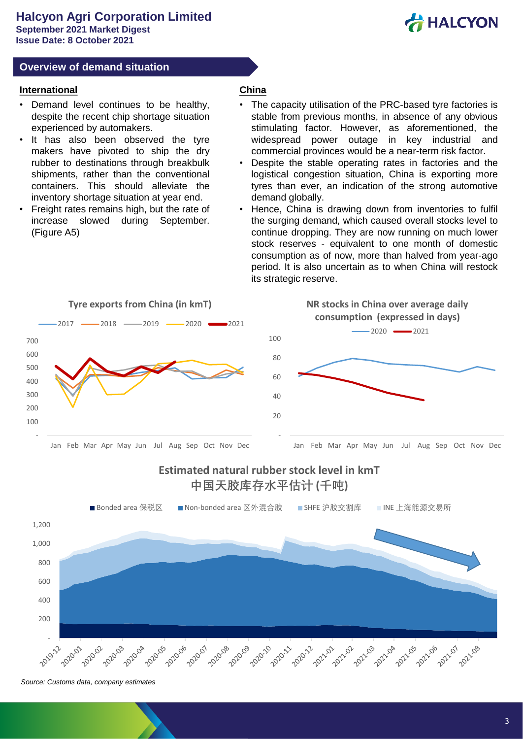

#### **Overview of demand situation**

#### **International**

- Demand level continues to be healthy, despite the recent chip shortage situation experienced by automakers.
- It has also been observed the tyre makers have pivoted to ship the dry rubber to destinations through breakbulk shipments, rather than the conventional containers. This should alleviate the inventory shortage situation at year end.
- Freight rates remains high, but the rate of increase slowed during September. (Figure A5)

#### **China**

- The capacity utilisation of the PRC-based tyre factories is stable from previous months, in absence of any obvious stimulating factor. However, as aforementioned, the widespread power outage in key industrial and commercial provinces would be a near-term risk factor.
- Despite the stable operating rates in factories and the logistical congestion situation, China is exporting more tyres than ever, an indication of the strong automotive demand globally.
- Hence, China is drawing down from inventories to fulfil the surging demand, which caused overall stocks level to continue dropping. They are now running on much lower stock reserves - equivalent to one month of domestic consumption as of now, more than halved from year-ago period. It is also uncertain as to when China will restock its strategic reserve.



# **Estimated natural rubber stock level in kmT 中国天胶库存水平估计 (千吨)**



*Source: Customs data, company estimates*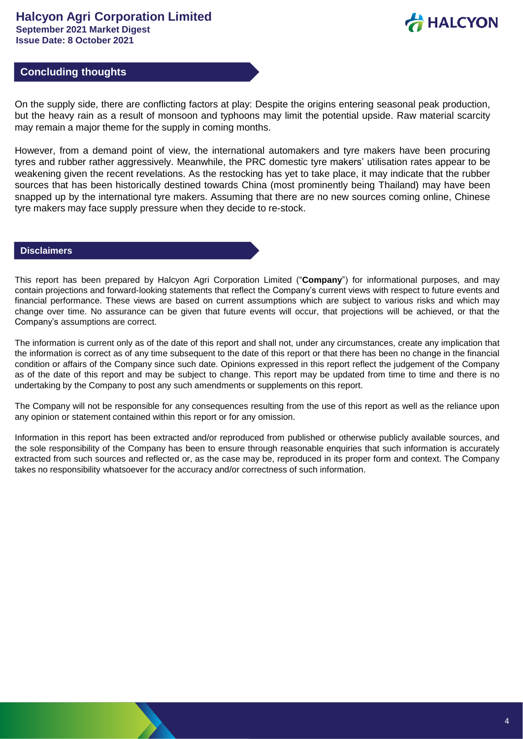

# **Concluding thoughts**

On the supply side, there are conflicting factors at play: Despite the origins entering seasonal peak production, but the heavy rain as a result of monsoon and typhoons may limit the potential upside. Raw material scarcity may remain a major theme for the supply in coming months.

However, from a demand point of view, the international automakers and tyre makers have been procuring tyres and rubber rather aggressively. Meanwhile, the PRC domestic tyre makers' utilisation rates appear to be weakening given the recent revelations. As the restocking has yet to take place, it may indicate that the rubber sources that has been historically destined towards China (most prominently being Thailand) may have been snapped up by the international tyre makers. Assuming that there are no new sources coming online, Chinese tyre makers may face supply pressure when they decide to re-stock.

#### **Disclaimers**

This report has been prepared by Halcyon Agri Corporation Limited ("**Company**") for informational purposes, and may contain projections and forward-looking statements that reflect the Company's current views with respect to future events and financial performance. These views are based on current assumptions which are subject to various risks and which may change over time. No assurance can be given that future events will occur, that projections will be achieved, or that the Company's assumptions are correct.

The information is current only as of the date of this report and shall not, under any circumstances, create any implication that the information is correct as of any time subsequent to the date of this report or that there has been no change in the financial condition or affairs of the Company since such date. Opinions expressed in this report reflect the judgement of the Company as of the date of this report and may be subject to change. This report may be updated from time to time and there is no undertaking by the Company to post any such amendments or supplements on this report.

The Company will not be responsible for any consequences resulting from the use of this report as well as the reliance upon any opinion or statement contained within this report or for any omission.

Information in this report has been extracted and/or reproduced from published or otherwise publicly available sources, and the sole responsibility of the Company has been to ensure through reasonable enquiries that such information is accurately extracted from such sources and reflected or, as the case may be, reproduced in its proper form and context. The Company takes no responsibility whatsoever for the accuracy and/or correctness of such information.